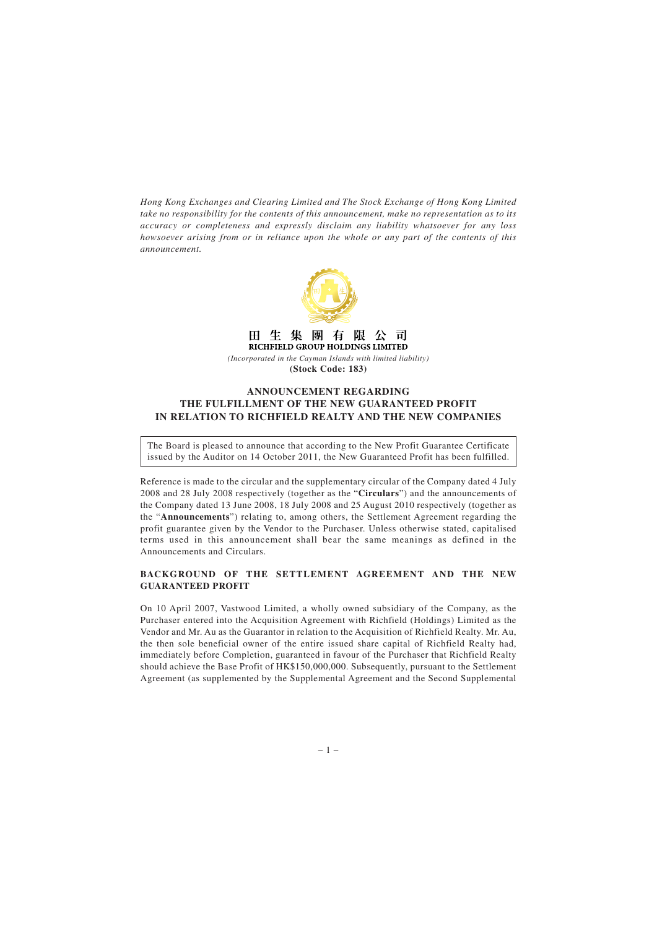*Hong Kong Exchanges and Clearing Limited and The Stock Exchange of Hong Kong Limited take no responsibility for the contents of this announcement, make no representation as to its accuracy or completeness and expressly disclaim any liability whatsoever for any loss howsoever arising from or in reliance upon the whole or any part of the contents of this announcement.*



田生 集 團 有 阻 司 RICHFIELD GROUP HOLDINGS LIMITED

*(Incorporated in the Cayman Islands with limited liability)* **(Stock Code: 183)**

## **ANNOUNCEMENT REGARDING THE FULFILLMENT OF THE NEW GUARANTEED PROFIT IN RELATION TO RICHFIELD REALTY AND THE NEW COMPANIES**

The Board is pleased to announce that according to the New Profit Guarantee Certificate issued by the Auditor on 14 October 2011, the New Guaranteed Profit has been fulfilled.

Reference is made to the circular and the supplementary circular of the Company dated 4 July 2008 and 28 July 2008 respectively (together as the "**Circulars**") and the announcements of the Company dated 13 June 2008, 18 July 2008 and 25 August 2010 respectively (together as the "**Announcements**") relating to, among others, the Settlement Agreement regarding the profit guarantee given by the Vendor to the Purchaser. Unless otherwise stated, capitalised terms used in this announcement shall bear the same meanings as defined in the Announcements and Circulars.

## **BACKGROUND OF THE SETTLEMENT AGREEMENT AND THE NEW GUARANTEED PROFIT**

On 10 April 2007, Vastwood Limited, a wholly owned subsidiary of the Company, as the Purchaser entered into the Acquisition Agreement with Richfield (Holdings) Limited as the Vendor and Mr. Au as the Guarantor in relation to the Acquisition of Richfield Realty. Mr. Au, the then sole beneficial owner of the entire issued share capital of Richfield Realty had, immediately before Completion, guaranteed in favour of the Purchaser that Richfield Realty should achieve the Base Profit of HK\$150,000,000. Subsequently, pursuant to the Settlement Agreement (as supplemented by the Supplemental Agreement and the Second Supplemental